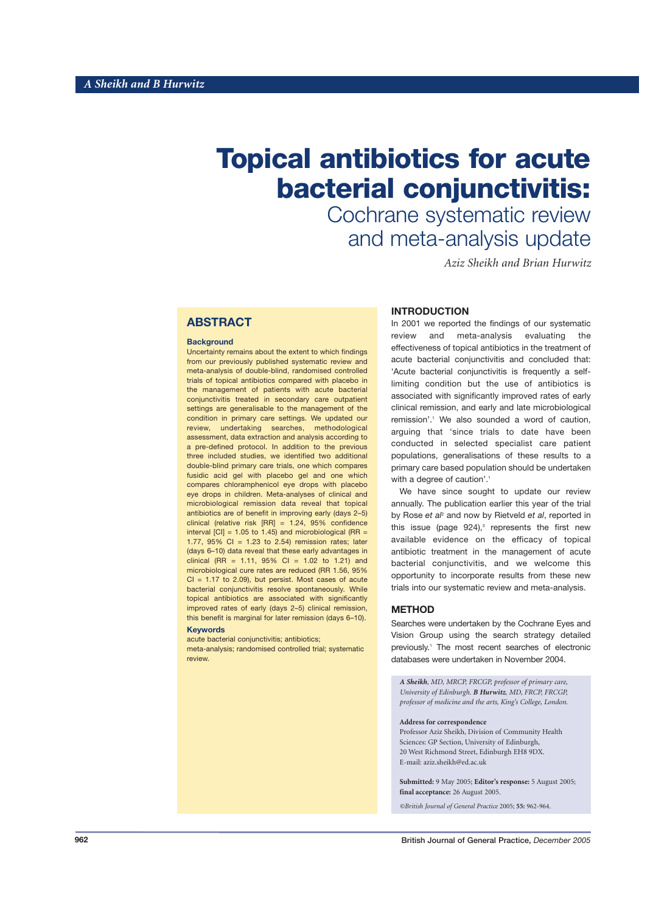# **Topical antibiotics for acute bacterial conjunctivitis:**

Cochrane systematic review and meta-analysis update

*Aziz Sheikh and Brian Hurwitz* 

# **ABSTRACT**

#### **Background**

Uncertainty remains about the extent to which findings from our previously published systematic review and meta-analysis of double-blind, randomised controlled trials of topical antibiotics compared with placebo in the management of patients with acute bacterial conjunctivitis treated in secondary care outpatient settings are generalisable to the management of the condition in primary care settings. We updated our review, undertaking searches, methodological assessment, data extraction and analysis according to a pre-defined protocol. In addition to the previous three included studies, we identified two additional double-blind primary care trials, one which compares fusidic acid gel with placebo gel and one which compares chloramphenicol eye drops with placebo eye drops in children. Meta-analyses of clinical and microbiological remission data reveal that topical antibiotics are of benefit in improving early (days 2–5) clinical (relative risk [RR] = 1.24, 95% confidence interval  $\text{[CI]} = 1.05$  to 1.45) and microbiological (RR = 1.77, 95% CI = 1.23 to 2.54) remission rates; later (days 6–10) data reveal that these early advantages in clinical (RR = 1.11,  $95\%$  CI = 1.02 to 1.21) and microbiological cure rates are reduced (RR 1.56, 95%  $Cl = 1.17$  to 2.09), but persist. Most cases of acute bacterial conjunctivitis resolve spontaneously. While topical antibiotics are associated with significantly improved rates of early (days 2–5) clinical remission, this benefit is marginal for later remission (days 6–10).

#### **Keywords**

acute bacterial conjunctivitis; antibiotics; meta-analysis; randomised controlled trial; systematic review.

# **INTRODUCTION**

In 2001 we reported the findings of our systematic review and meta-analysis evaluating the effectiveness of topical antibiotics in the treatment of acute bacterial conjunctivitis and concluded that: 'Acute bacterial conjunctivitis is frequently a selflimiting condition but the use of antibiotics is associated with significantly improved rates of early clinical remission, and early and late microbiological remission'.<sup>1</sup> We also sounded a word of caution, arguing that 'since trials to date have been conducted in selected specialist care patient populations, generalisations of these results to a primary care based population should be undertaken with a degree of caution'.<sup>1</sup>

We have since sought to update our review annually. The publication earlier this year of the trial by Rose *et al*<sup>2</sup> and now by Rietveld *et al*, reported in this issue (page  $924$ ),<sup>3</sup> represents the first new available evidence on the efficacy of topical antibiotic treatment in the management of acute bacterial conjunctivitis, and we welcome this opportunity to incorporate results from these new trials into our systematic review and meta-analysis.

### **METHOD**

Searches were undertaken by the Cochrane Eyes and Vision Group using the search strategy detailed previously.1 The most recent searches of electronic databases were undertaken in November 2004.

*A Sheikh, MD, MRCP, FRCGP, professor of primary care, University of Edinburgh. B Hurwitz, MD, FRCP, FRCGP, professor of medicine and the arts, King's College, London.*

#### **Address for correspondence**

Professor Aziz Sheikh, Division of Community Health Sciences: GP Section, University of Edinburgh, 20 West Richmond Street, Edinburgh EH8 9DX. E-mail: aziz.sheikh@ed.ac.uk

**Submitted:** 9 May 2005; **Editor's response:** 5 August 2005; **final acceptance:** 26 August 2005.

*©British Journal of General Practice* 2005; **55:** 962-964*.*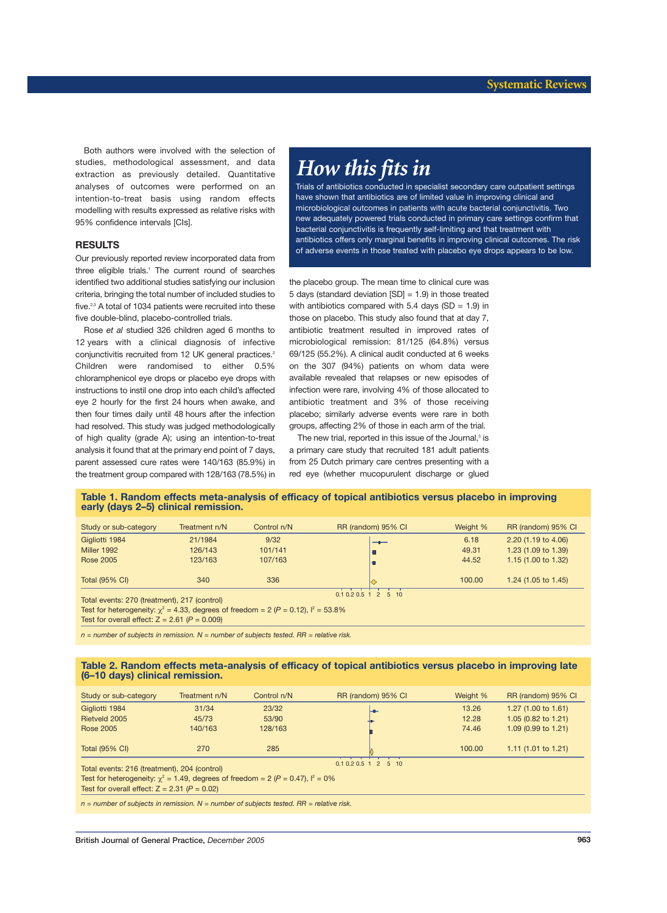Both authors were involved with the selection of studies, methodological assessment, and data extraction as previously detailed. Quantitative analyses of outcomes were performed on an intention-to-treat basis using random effects modelling with results expressed as relative risks with 95% confidence intervals [CIs].

## **RESULTS**

Our previously reported review incorporated data from three eligible trials.<sup>1</sup> The current round of searches identified two additional studies satisfying our inclusion criteria, bringing the total number of included studies to five.<sup>2,3</sup> A total of 1034 patients were recruited into these five double-blind, placebo-controlled trials.

Rose *et al* studied 326 children aged 6 months to 12 years with a clinical diagnosis of infective conjunctivitis recruited from 12 UK general practices.<sup>2</sup> Children were randomised to either 0.5% chloramphenicol eye drops or placebo eye drops with instructions to instil one drop into each child's affected eye 2 hourly for the first 24 hours when awake, and then four times daily until 48 hours after the infection had resolved. This study was judged methodologically of high quality (grade A); using an intention-to-treat analysis it found that at the primary end point of 7 days, parent assessed cure rates were 140/163 (85.9%) in the treatment group compared with 128/163 (78.5%) in

# *How this fits in*

Trials of antibiotics conducted in specialist secondary care outpatient settings have shown that antibiotics are of limited value in improving clinical and microbiological outcomes in patients with acute bacterial conjunctivitis. Two new adequately powered trials conducted in primary care settings confirm that bacterial conjunctivitis is frequently self-limiting and that treatment with antibiotics offers only marginal benefits in improving clinical outcomes. The risk of adverse events in those treated with placebo eye drops appears to be low.

the placebo group. The mean time to clinical cure was 5 days (standard deviation  $[SD] = 1.9$ ) in those treated with antibiotics compared with 5.4 days (SD =  $1.9$ ) in those on placebo. This study also found that at day 7, antibiotic treatment resulted in improved rates of microbiological remission: 81/125 (64.8%) versus 69/125 (55.2%). A clinical audit conducted at 6 weeks on the 307 (94%) patients on whom data were available revealed that relapses or new episodes of infection were rare, involving 4% of those allocated to antibiotic treatment and 3% of those receiving placebo; similarly adverse events were rare in both groups, affecting 2% of those in each arm of the trial.

The new trial, reported in this issue of the Journal,<sup>3</sup> is a primary care study that recruited 181 adult patients from 25 Dutch primary care centres presenting with a red eye (whether mucopurulent discharge or glued

#### **Table 1. Random effects meta-analysis of efficacy of topical antibiotics versus placebo in improving early (days 2–5) clinical remission.**

| Study or sub-category                                                                     | Treatment n/N | Control n/N | RR (random) 95% CI | Weight % | RR (random) 95% CI             |
|-------------------------------------------------------------------------------------------|---------------|-------------|--------------------|----------|--------------------------------|
| Gigliotti 1984                                                                            | 21/1984       | 9/32        | $-$ 0 $-$          | 6.18     | 2.20 (1.19 to 4.06)            |
| Miller 1992                                                                               | 126/143       | 101/141     |                    | 49.31    | 1.23 (1.09 to 1.39)            |
| <b>Rose 2005</b>                                                                          | 123/163       | 107/163     |                    | 44.52    | 1.15 $(1.00 \text{ to } 1.32)$ |
| <b>Total (95% CI)</b>                                                                     | 340           | 336         |                    | 100.00   | 1.24 $(1.05 \text{ to } 1.45)$ |
| Total events: 270 (treatment), 217 (control)                                              |               |             | 0.10.20.512510     |          |                                |
| Test for heterogeneity: $\chi^2$ = 4.33, degrees of freedom = 2 (P = 0.12), $l^2$ = 53.8% |               |             |                    |          |                                |
| Test for overall effect: $Z = 2.61$ ( $P = 0.009$ )                                       |               |             |                    |          |                                |

*n = number of subjects in remission. N = number of subjects tested. RR = relative risk.*

### **Table 2. Random effects meta-analysis of efficacy of topical antibiotics versus placebo in improving late (6–10 days) clinical remission.**

| Treatment n/N                                      | Control n/N | RR (random) 95% CI | Weight %                                                                               | RR (random) 95% CI             |
|----------------------------------------------------|-------------|--------------------|----------------------------------------------------------------------------------------|--------------------------------|
| 31/34                                              | 23/32       |                    | 13.26                                                                                  | 1.27 $(1.00 \text{ to } 1.61)$ |
| 45/73                                              | 53/90       |                    | 12.28                                                                                  | 1.05 $(0.82 \text{ to } 1.21)$ |
| 140/163                                            | 128/163     |                    | 74.46                                                                                  | $1.09(0.99 \text{ to } 1.21)$  |
| 270                                                | 285         |                    | 100.00                                                                                 | 1.11 $(1.01 \text{ to } 1.21)$ |
| Total events: 216 (treatment), 204 (control)       |             | 0.10.20.512510     |                                                                                        |                                |
|                                                    |             |                    |                                                                                        |                                |
| Test for overall effect: $Z = 2.31$ ( $P = 0.02$ ) |             |                    |                                                                                        |                                |
|                                                    |             |                    | Test for heterogeneity: $\chi^2$ = 1.49, degrees of freedom = 2 (P = 0.47), $l^2$ = 0% |                                |

*n = number of subjects in remission. N = number of subjects tested. RR = relative risk.*